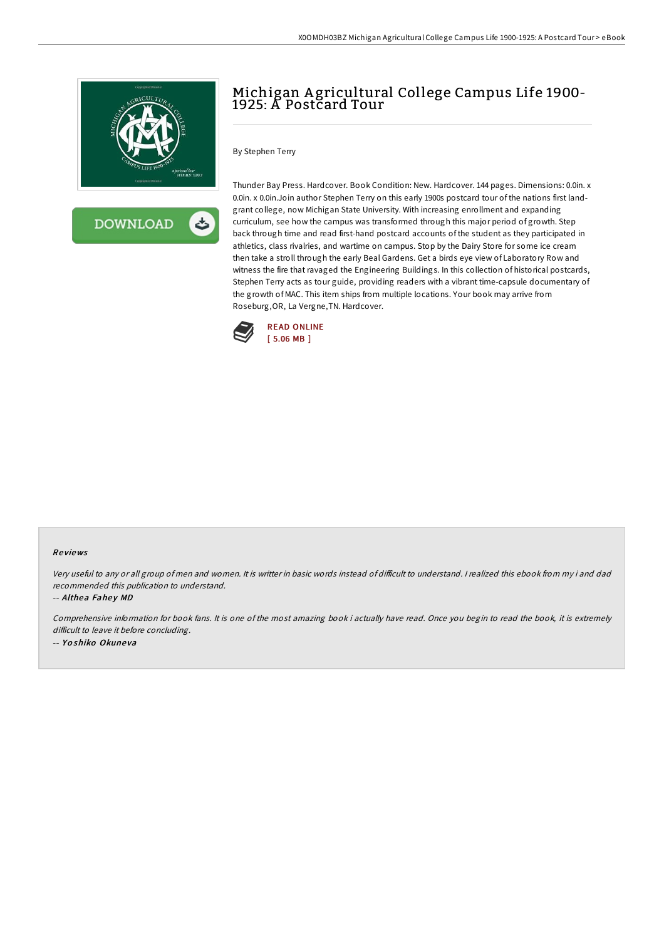



## Michigan A gricultural College Campus Life 1900- 1925: A Postcard Tour

## By Stephen Terry

Thunder Bay Press. Hardcover. Book Condition: New. Hardcover. 144 pages. Dimensions: 0.0in. x 0.0in. x 0.0in.Join author Stephen Terry on this early 1900s postcard tour of the nations first landgrant college, now Michigan State University. With increasing enrollment and expanding curriculum, see how the campus was transformed through this major period of growth. Step back through time and read first-hand postcard accounts of the student as they participated in athletics, class rivalries, and wartime on campus. Stop by the Dairy Store for some ice cream then take a stroll through the early Beal Gardens. Get a birds eye view of Laboratory Row and witness the fire that ravaged the Engineering Buildings. In this collection of historical postcards, Stephen Terry acts as tour guide, providing readers with a vibrant time-capsule documentary of the growth of MAC. This item ships from multiple locations. Your book may arrive from Roseburg,OR, La Vergne,TN. Hardcover.



## Re views

Very useful to any or all group of men and women. It is writter in basic words instead of difficult to understand. I realized this ebook from my i and dad recommended this publication to understand.

-- Althea Fahey MD

Comprehensive information for book fans. It is one of the most amazing book i actually have read. Once you begin to read the book, it is extremely difficult to leave it before concluding. -- Yoshiko Okuneva